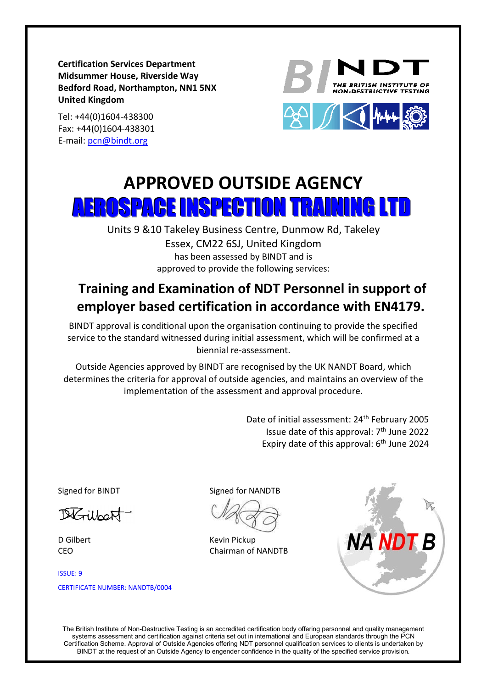**Certification Services Department Midsummer House, Riverside Way Bedford Road, Northampton, NN1 5NX United Kingdom**

Tel: +44(0)1604-438300 Fax: +44(0)1604-438301 E-mail: [pcn@bindt.org](mailto:pcn@bindt.org)





## **APPROVED OUTSIDE AGENCY** AEROSPACE INSPECTION TRAINING LTD

Units 9 &10 Takeley Business Centre, Dunmow Rd, Takeley Essex, CM22 6SJ, United Kingdom has been assessed by BINDT and is approved to provide the following services:

## **Training and Examination of NDT Personnel in support of employer based certification in accordance with EN4179.**

BINDT approval is conditional upon the organisation continuing to provide the specified service to the standard witnessed during initial assessment, which will be confirmed at a biennial re-assessment.

Outside Agencies approved by BINDT are recognised by the UK NANDT Board, which determines the criteria for approval of outside agencies, and maintains an overview of the implementation of the assessment and approval procedure.

> Date of initial assessment: 24th February 2005 Issue date of this approval: 7<sup>th</sup> June 2022 Expiry date of this approval:  $6<sup>th</sup>$  June 2024

DiGilbert

D Gilbert CEO

ISSUE: 9 CERTIFICATE NUMBER: NANDTB/0004

Signed for BINDT Signed for NANDTB

Kevin Pickup Chairman of NANDTB



The British Institute of Non-Destructive Testing is an accredited certification body offering personnel and quality management systems assessment and certification against criteria set out in international and European standards through the PCN Certification Scheme. Approval of Outside Agencies offering NDT personnel qualification services to clients is undertaken by BINDT at the request of an Outside Agency to engender confidence in the quality of the specified service provision.